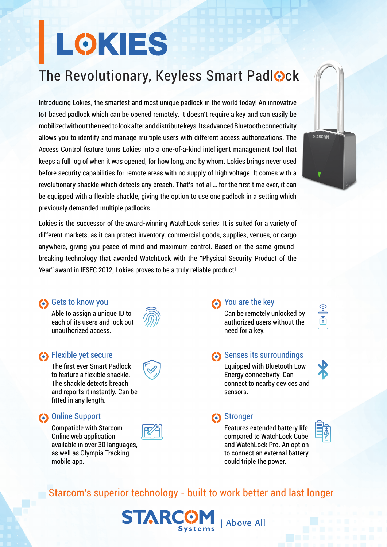# **LOKIES**

## The Revolutionary, Keyless Smart Padlock

Introducing Lokies, the smartest and most unique padlock in the world today! An innovative loT based padlock which can be opened remotely. It doesn't require a key and can easily be mobilized without the need to look after and distribute keys. Its advanced Bluetooth connectivity allows you to identify and manage multiple users with different access authorizations. The Access Control feature turns Lokies into a one-of-a-kind intelligent management tool that keeps a full log of when it was opened, for how long, and by whom. Lokies brings never used before security capabilities for remote areas with no supply of high voltage. It comes with a revolutionary shackle which detects any breach. That's not all... for the first time ever, it can be equipped with a flexible shackle, giving the option to use one padlock in a setting which previously demanded multiple padlocks.



#### **6** Gets to know you

Able to assign a unique ID to each of its users and lock out unauthorized access

#### secure Secure

The first ever Smart Padlock to feature a flexible shackle. The shackle detects breach and reports it instantly. Can be fitted in any length.

#### **Condition** Online Support

Compatible with Starcom Online web application available in over 30 languages. as well as Olympia Tracking mobile app.



**STARCG** 

#### solve the key

need for a key.

Can be remotely unlocked by authorized users without the

#### senses its surroundings

Equipped with Bluetooth Low Energy connectivity. Can connect to nearby devices and sensors.

#### **Constants** Construction

**LAbove All** 

Features extended battery life compared to WatchLock Cube and WatchLock Pro. An option to connect an external battery could triple the power.



ீ

**STARCOM** 

## Starcom's superior technology - built to work better and last longer